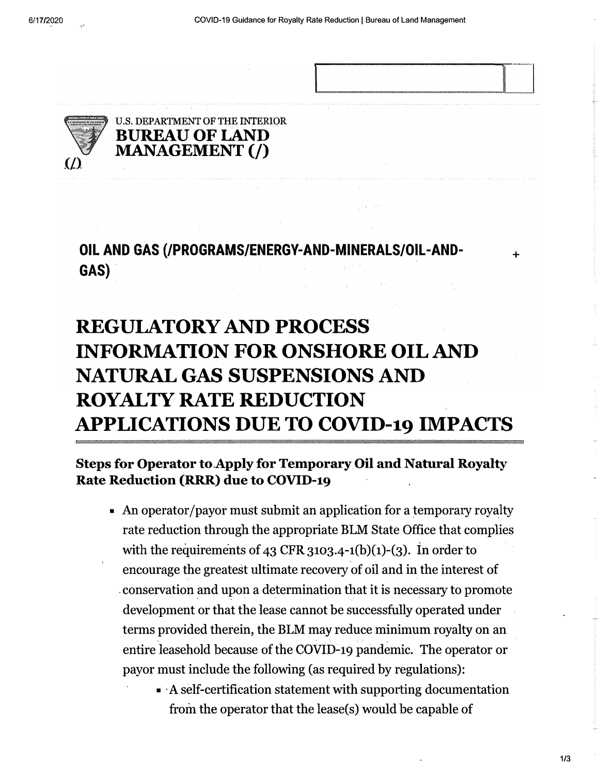.....--------------·-

÷



U.S. DEPARTMENT OF THE INTERIOR **MANAGEMENT(/) BUREAU OF LAND** 

**OIL AND GAS (/PROGRAMS/ENERGY-AND-MINERALS/OIL-AND-GAS)** 

## **REGULATORY AND PROCESS INFORMATION FOR ONSHORE OIL AND NATURAL GAS SUSPENSIONS AND ROYALTY RATE REDUCTION APPLICATIONS DUE TO COVID-19 IMPACTS**

## **Steps for Operator to Apply for Temporary Oil and Natural Royalty Rate Reduction (RRR) due to COVID-19**

- An operator/payor must submit an application for a temporary royalty rate reduction through the appropriate BLM State Office that complies with the requirements of 43 CFR 3103.4-1(b)(1)-(3). In order to encourage the greatest ultimate recovery of oil and in the interest of conservation and upon a determination that it is necessary to promote development or that the lease cannot be successfully operated under terms provided therein, the BLM may reduce minimum royalty on an entire leasehold because of the COVID-19 pandemic. The operator or payor must include the following (as required by regulations):
	- A self-certification statement with supporting documentation from the operator that the lease(s) would be capable of

**1/3**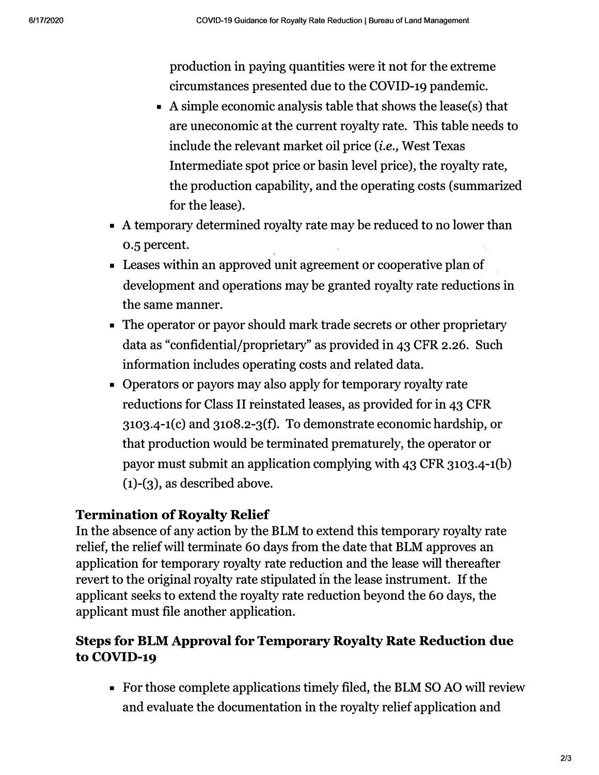production in paying quantities were it not for the extreme circumstances presented due to the COVID-19 pandemic.

- A simple economic analysis table that shows the lease(s) that are uneconomic at the current royalty rate. This table needs to include the relevant market oil price *(i.e.,* West Texas Intermediate spot price or basin level price), the royalty rate, the production capability, and the operating costs (summarized for the lease).
- A temporary determined royalty rate may be reduced to no lower than 0.5 percent.
- Leases within an approved unit agreement or cooperative plan of development and operations may be granted royalty rate reductions in the same manner.
- The operator or payor should mark trade secrets or other proprietary data as "confidential/proprietary" as provided in 43 CFR 2.26. Such information includes operating costs and related data.
- Operators or payors may also apply for temporary royalty rate reductions for Class II reinstated leases, as provided for in 43 CFR  $3103.4 - 1(c)$  and  $3108.2 - 3(f)$ . To demonstrate economic hardship, or that production would be terminated prematurely, the operator or payor must submit an application complying with 43 CFR 3103.4-1(b) (1)-(3), as described above.

## **Termination of Royalty Relief**

In the absence of any action by the BLM to extend this temporary royalty rate relief, the relief will terminate 60 days from the date that BLM approves an application for temporary royalty rate reduction and the lease will thereafter revert to the original royalty rate stipulated in the lease instrument. If the applicant seeks to extend the royalty rate reduction beyond the 60 days, the applicant must file another application.

## **Steps for BLM Approval for Temporary Royalty Rate Reduction due to COVID-19**

■ For those complete applications timely filed, the BLM SO AO will review and evaluate the documentation in the royalty relief application and